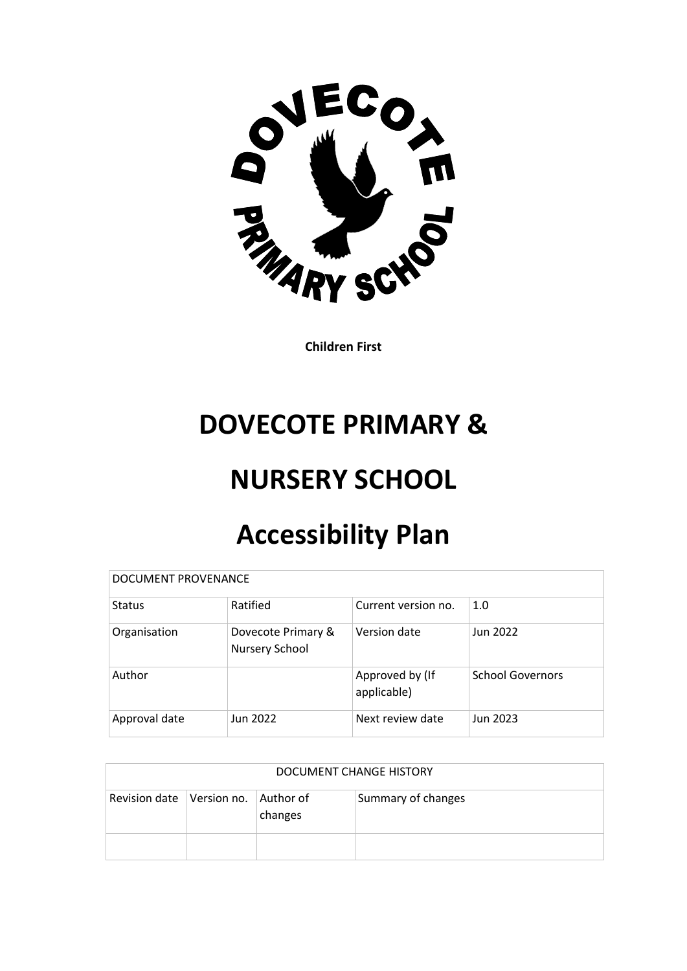

**Children First**

## **DOVECOTE PRIMARY &**

## **NURSERY SCHOOL**

# **Accessibility Plan**

| DOCUMENT PROVENANCE |                                      |                                |                         |  |  |  |  |
|---------------------|--------------------------------------|--------------------------------|-------------------------|--|--|--|--|
| <b>Status</b>       | Ratified                             | Current version no.            | 1.0                     |  |  |  |  |
| Organisation        | Dovecote Primary &<br>Nursery School | Version date                   | Jun 2022                |  |  |  |  |
| Author              |                                      | Approved by (If<br>applicable) | <b>School Governors</b> |  |  |  |  |
| Approval date       | Jun 2022                             | Next review date               | Jun 2023                |  |  |  |  |

| DOCUMENT CHANGE HISTORY                 |  |         |                    |  |  |
|-----------------------------------------|--|---------|--------------------|--|--|
| Revision date   Version no.   Author of |  | changes | Summary of changes |  |  |
|                                         |  |         |                    |  |  |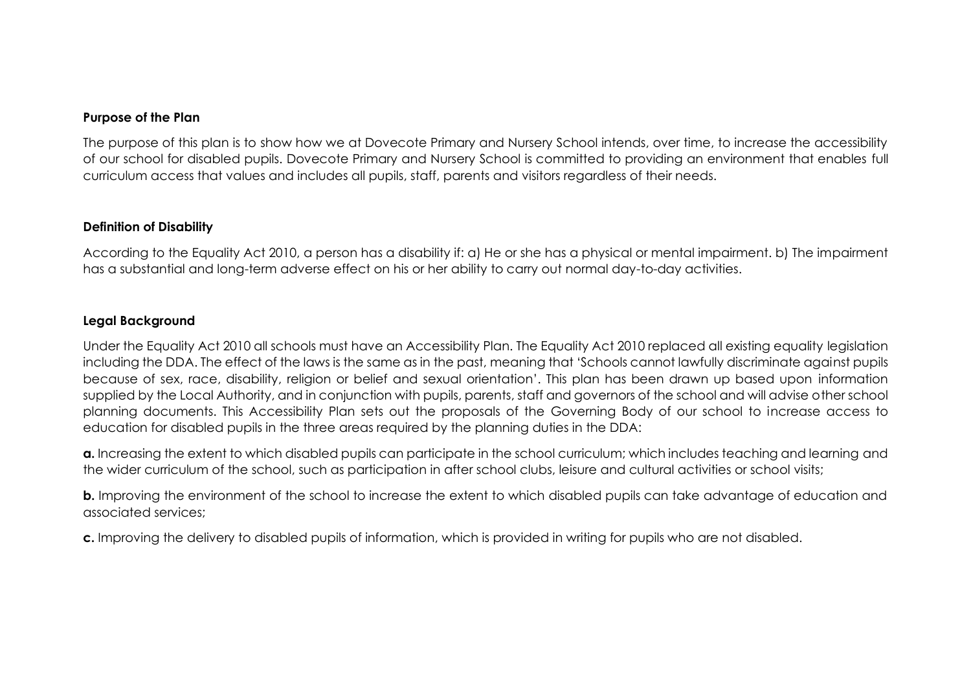#### **Purpose of the Plan**

The purpose of this plan is to show how we at Dovecote Primary and Nursery School intends, over time, to increase the accessibility of our school for disabled pupils. Dovecote Primary and Nursery School is committed to providing an environment that enables full curriculum access that values and includes all pupils, staff, parents and visitors regardless of their needs.

#### **Definition of Disability**

According to the Equality Act 2010, a person has a disability if: a) He or she has a physical or mental impairment. b) The impairment has a substantial and long-term adverse effect on his or her ability to carry out normal day-to-day activities.

#### **Legal Background**

Under the Equality Act 2010 all schools must have an Accessibility Plan. The Equality Act 2010 replaced all existing equality legislation including the DDA. The effect of the laws is the same as in the past, meaning that 'Schools cannot lawfully discriminate against pupils because of sex, race, disability, religion or belief and sexual orientation'. This plan has been drawn up based upon information supplied by the Local Authority, and in conjunction with pupils, parents, staff and governors of the school and will advise other school planning documents. This Accessibility Plan sets out the proposals of the Governing Body of our school to increase access to education for disabled pupils in the three areas required by the planning duties in the DDA:

**a.** Increasing the extent to which disabled pupils can participate in the school curriculum; which includes teaching and learning and the wider curriculum of the school, such as participation in after school clubs, leisure and cultural activities or school visits;

**b.** Improving the environment of the school to increase the extent to which disabled pupils can take advantage of education and associated services;

**c.** Improving the delivery to disabled pupils of information, which is provided in writing for pupils who are not disabled.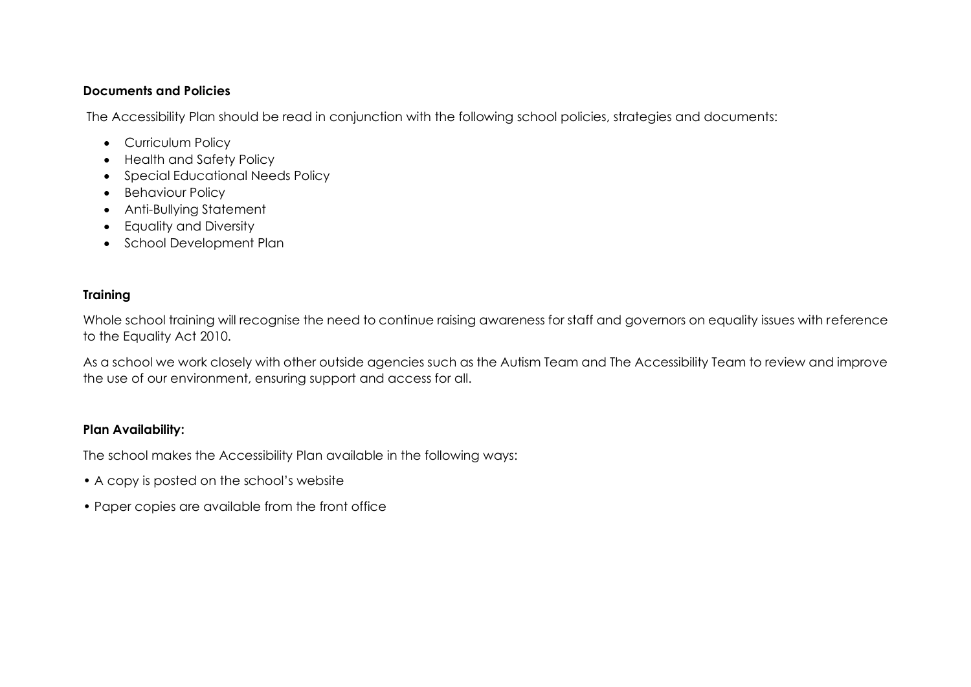### **Documents and Policies**

The Accessibility Plan should be read in conjunction with the following school policies, strategies and documents:

- Curriculum Policy
- Health and Safety Policy
- Special Educational Needs Policy
- Behaviour Policy
- Anti-Bullying Statement
- Equality and Diversity
- School Development Plan

## **Training**

Whole school training will recognise the need to continue raising awareness for staff and governors on equality issues with reference to the Equality Act 2010.

As a school we work closely with other outside agencies such as the Autism Team and The Accessibility Team to review and improve the use of our environment, ensuring support and access for all.

### **Plan Availability:**

The school makes the Accessibility Plan available in the following ways:

- A copy is posted on the school's website
- Paper copies are available from the front office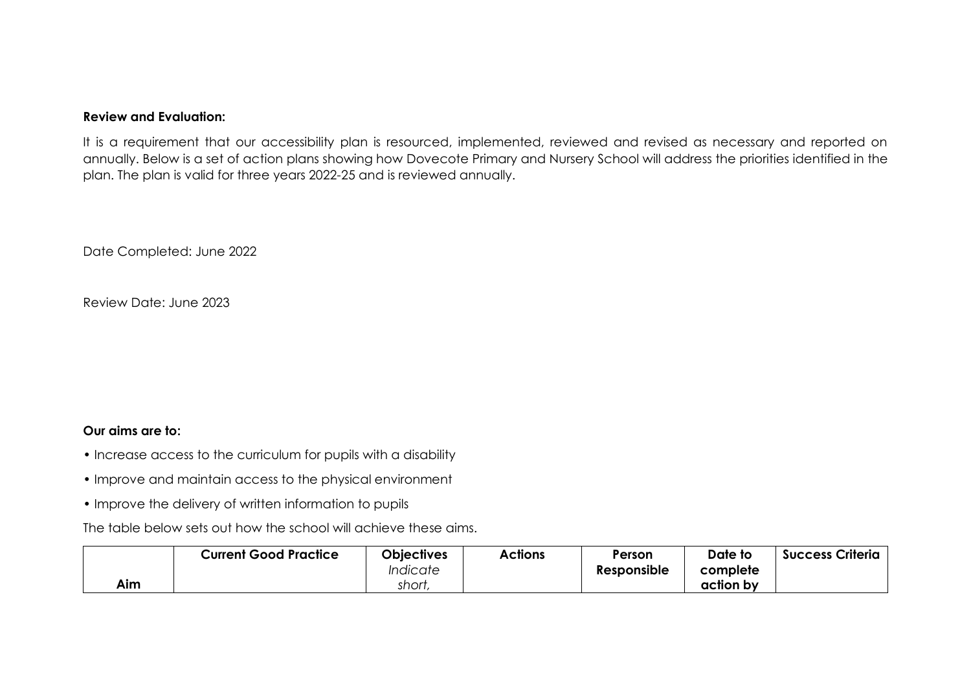#### **Review and Evaluation:**

It is a requirement that our accessibility plan is resourced, implemented, reviewed and revised as necessary and reported on annually. Below is a set of action plans showing how Dovecote Primary and Nursery School will address the priorities identified in the plan. The plan is valid for three years 2022-25 and is reviewed annually.

Date Completed: June 2022

Review Date: June 2023

#### **Our aims are to:**

- Increase access to the curriculum for pupils with a disability
- Improve and maintain access to the physical environment
- Improve the delivery of written information to pupils

The table below sets out how the school will achieve these aims.

|     | <b>Current Good Practice</b> | <b>Objectives</b>             | Actions | Person      | Date to   | <b>Success Criteria</b> |
|-----|------------------------------|-------------------------------|---------|-------------|-----------|-------------------------|
|     |                              | <i><u><b>Indicate</b></u></i> |         | Responsible | complete  |                         |
| Aim |                              | short                         |         |             | action by |                         |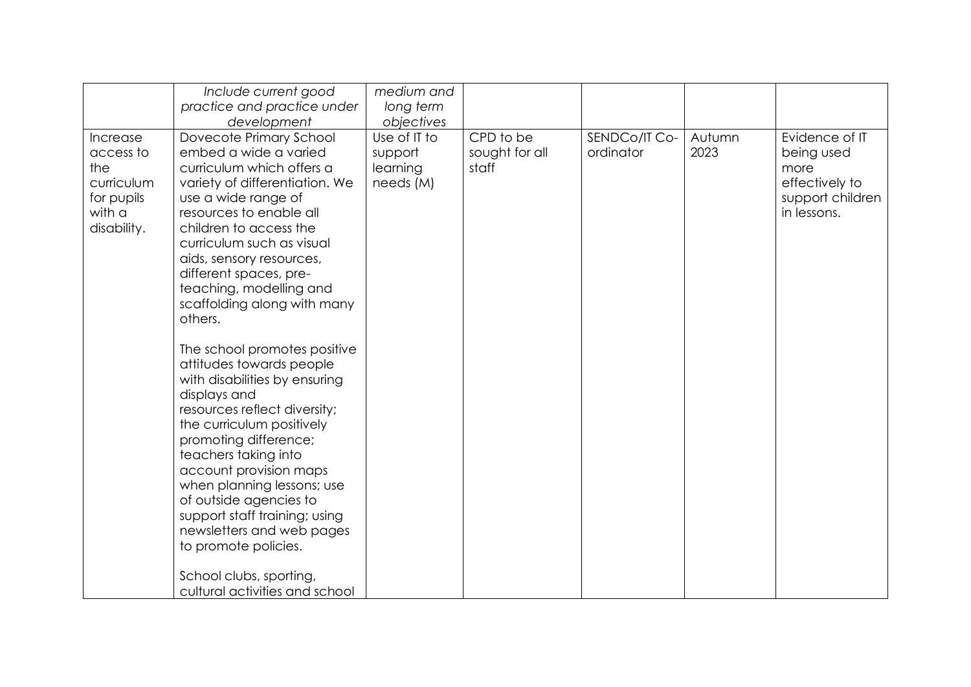|                                                                                   | Include current good                                                                                                                                                                                                                                                                                                                                                                                                                                                                                                                                                                                                                                                                                                                                                                                                | medium and                                       |                                      |                            |                |                                                                                           |
|-----------------------------------------------------------------------------------|---------------------------------------------------------------------------------------------------------------------------------------------------------------------------------------------------------------------------------------------------------------------------------------------------------------------------------------------------------------------------------------------------------------------------------------------------------------------------------------------------------------------------------------------------------------------------------------------------------------------------------------------------------------------------------------------------------------------------------------------------------------------------------------------------------------------|--------------------------------------------------|--------------------------------------|----------------------------|----------------|-------------------------------------------------------------------------------------------|
|                                                                                   | practice and practice under<br>development                                                                                                                                                                                                                                                                                                                                                                                                                                                                                                                                                                                                                                                                                                                                                                          | long term<br>objectives                          |                                      |                            |                |                                                                                           |
| Increase<br>access to<br>the<br>curriculum<br>for pupils<br>with a<br>disability. | Dovecote Primary School<br>embed a wide a varied<br>curriculum which offers a<br>variety of differentiation. We<br>use a wide range of<br>resources to enable all<br>children to access the<br>curriculum such as visual<br>aids, sensory resources,<br>different spaces, pre-<br>teaching, modelling and<br>scaffolding along with many<br>others.<br>The school promotes positive<br>attitudes towards people<br>with disabilities by ensuring<br>displays and<br>resources reflect diversity;<br>the curriculum positively<br>promoting difference;<br>teachers taking into<br>account provision maps<br>when planning lessons; use<br>of outside agencies to<br>support staff training; using<br>newsletters and web pages<br>to promote policies.<br>School clubs, sporting,<br>cultural activities and school | Use of IT to<br>support<br>learning<br>needs (M) | CPD to be<br>sought for all<br>staff | SENDCo/IT Co-<br>ordinator | Autumn<br>2023 | Evidence of IT<br>being used<br>more<br>effectively to<br>support children<br>in lessons. |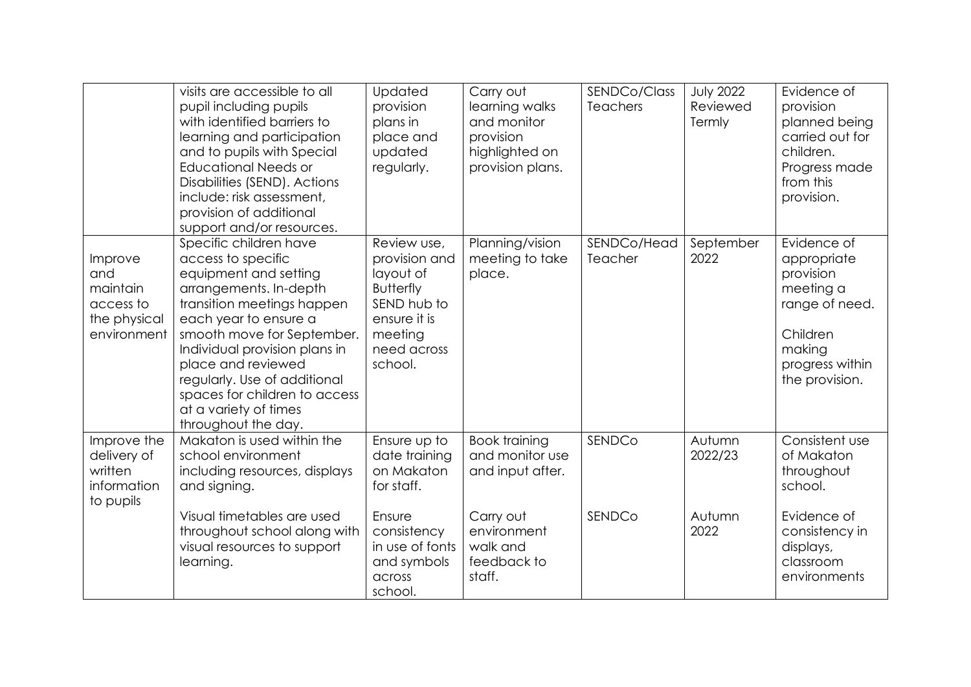|                                                                        | visits are accessible to all<br>pupil including pupils<br>with identified barriers to<br>learning and participation<br>and to pupils with Special<br><b>Educational Needs or</b><br>Disabilities (SEND). Actions<br>include: risk assessment,<br>provision of additional<br>support and/or resources.                                                        | Updated<br>provision<br>plans in<br>place and<br>updated<br>regularly.                                                            | Carry out<br>learning walks<br>and monitor<br>provision<br>highlighted on<br>provision plans. | SENDCo/Class<br><b>Teachers</b> | <b>July 2022</b><br>Reviewed<br>Termly | Evidence of<br>provision<br>planned being<br>carried out for<br>children.<br>Progress made<br>from this<br>provision.             |
|------------------------------------------------------------------------|--------------------------------------------------------------------------------------------------------------------------------------------------------------------------------------------------------------------------------------------------------------------------------------------------------------------------------------------------------------|-----------------------------------------------------------------------------------------------------------------------------------|-----------------------------------------------------------------------------------------------|---------------------------------|----------------------------------------|-----------------------------------------------------------------------------------------------------------------------------------|
| Improve<br>and<br>maintain<br>access to<br>the physical<br>environment | Specific children have<br>access to specific<br>equipment and setting<br>arrangements. In-depth<br>transition meetings happen<br>each year to ensure a<br>smooth move for September.<br>Individual provision plans in<br>place and reviewed<br>regularly. Use of additional<br>spaces for children to access<br>at a variety of times<br>throughout the day. | Review use,<br>provision and<br>layout of<br><b>Butterfly</b><br>SEND hub to<br>ensure it is<br>meeting<br>need across<br>school. | Planning/vision<br>meeting to take<br>place.                                                  | SENDCo/Head<br>Teacher          | September<br>2022                      | Evidence of<br>appropriate<br>provision<br>meeting a<br>range of need.<br>Children<br>making<br>progress within<br>the provision. |
| Improve the<br>delivery of<br>written<br>information<br>to pupils      | Makaton is used within the<br>school environment<br>including resources, displays<br>and signing.                                                                                                                                                                                                                                                            | Ensure up to<br>date training<br>on Makaton<br>for staff.                                                                         | <b>Book training</b><br>and monitor use<br>and input after.                                   | SENDCo                          | Autumn<br>2022/23                      | Consistent use<br>of Makaton<br>throughout<br>school.                                                                             |
|                                                                        | Visual timetables are used<br>throughout school along with<br>visual resources to support<br>learning.                                                                                                                                                                                                                                                       | Ensure<br>consistency<br>in use of fonts<br>and symbols<br>across<br>school.                                                      | Carry out<br>environment<br>walk and<br>feedback to<br>staff.                                 | SENDCo                          | Autumn<br>2022                         | Evidence of<br>consistency in<br>displays,<br>classroom<br>environments                                                           |